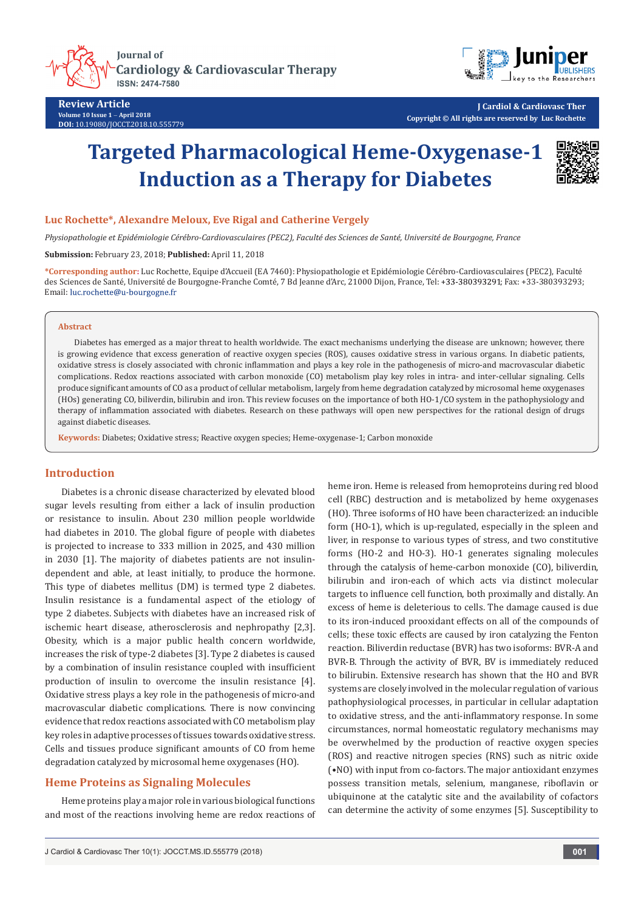**Iournal of Cardiology & Cardiovascular Therapy ISSN: 2474-7580** 



**Review Article Volume 10 Issue 1** - **April 2018 DOI:** [10.19080/JOCCT.2018.10.555779](http://dx.doi.org/10.19080/JOCCT.2018.10.555779)

**J Cardiol & Cardiovasc Ther Copyright © All rights are reserved by Luc Rochette**

# **Targeted Pharmacological Heme-Oxygenase-1 Induction as a Therapy for Diabetes**



# **Luc Rochette\*, Alexandre Meloux, Eve Rigal and Catherine Vergely**

*Physiopathologie et Epidémiologie Cérébro-Cardiovasculaires (PEC2), Faculté des Sciences de Santé, Université de Bourgogne, France*

## **Submission:** February 23, 2018; **Published:** April 11, 2018

**\*Corresponding author:** Luc Rochette, Equipe d'Accueil (EA 7460): Physiopathologie et Epidémiologie Cérébro-Cardiovasculaires (PEC2), Faculté des Sciences de Santé, Université de Bourgogne-Franche Comté, 7 Bd Jeanne d'Arc, 21000 Dijon, France, Tel: +33-380393291; Fax: +33-380393293; Email: luc.rochette@u-bourgogne.fr

#### **Abstract**

Diabetes has emerged as a major threat to health worldwide. The exact mechanisms underlying the disease are unknown; however, there is growing evidence that excess generation of reactive oxygen species (ROS), causes oxidative stress in various organs. In diabetic patients, oxidative stress is closely associated with chronic inflammation and plays a key role in the pathogenesis of micro-and macrovascular diabetic complications. Redox reactions associated with carbon monoxide (CO) metabolism play key roles in intra- and inter-cellular signaling. Cells produce significant amounts of CO as a product of cellular metabolism, largely from heme degradation catalyzed by microsomal heme oxygenases (HOs) generating CO, biliverdin, bilirubin and iron. This review focuses on the importance of both HO-1/CO system in the pathophysiology and therapy of inflammation associated with diabetes. Research on these pathways will open new perspectives for the rational design of drugs against diabetic diseases.

**Keywords:** Diabetes; Oxidative stress; Reactive oxygen species; Heme-oxygenase-1; Carbon monoxide

# **Introduction**

Diabetes is a chronic disease characterized by elevated blood sugar levels resulting from either a lack of insulin production or resistance to insulin. About 230 million people worldwide had diabetes in 2010. The global figure of people with diabetes is projected to increase to 333 million in 2025, and 430 million in 2030 [1]. The majority of diabetes patients are not insulindependent and able, at least initially, to produce the hormone. This type of diabetes mellitus (DM) is termed type 2 diabetes. Insulin resistance is a fundamental aspect of the etiology of type 2 diabetes. Subjects with diabetes have an increased risk of ischemic heart disease, atherosclerosis and nephropathy [2,3]. Obesity, which is a major public health concern worldwide, increases the risk of type-2 diabetes [3]. Type 2 diabetes is caused by a combination of insulin resistance coupled with insufficient production of insulin to overcome the insulin resistance [4]. Oxidative stress plays a key role in the pathogenesis of micro-and macrovascular diabetic complications. There is now convincing evidence that redox reactions associated with CO metabolism play key roles in adaptive processes of tissues towards oxidative stress. Cells and tissues produce significant amounts of CO from heme degradation catalyzed by microsomal heme oxygenases (HO).

# **Heme Proteins as Signaling Molecules**

Heme proteins play a major role in various biological functions and most of the reactions involving heme are redox reactions of heme iron. Heme is released from hemoproteins during red blood cell (RBC) destruction and is metabolized by heme oxygenases (HO). Three isoforms of HO have been characterized: an inducible form (HO-1), which is up-regulated, especially in the spleen and liver, in response to various types of stress, and two constitutive forms (HO-2 and HO-3). HO-1 generates signaling molecules through the catalysis of heme-carbon monoxide (CO), biliverdin, bilirubin and iron-each of which acts via distinct molecular targets to influence cell function, both proximally and distally. An excess of heme is deleterious to cells. The damage caused is due to its iron-induced prooxidant effects on all of the compounds of cells; these toxic effects are caused by iron catalyzing the Fenton reaction. Biliverdin reductase (BVR) has two isoforms: BVR-A and BVR-B. Through the activity of BVR, BV is immediately reduced to bilirubin. Extensive research has shown that the HO and BVR systems are closely involved in the molecular regulation of various pathophysiological processes, in particular in cellular adaptation to oxidative stress, and the anti-inflammatory response. In some circumstances, normal homeostatic regulatory mechanisms may be overwhelmed by the production of reactive oxygen species (ROS) and reactive nitrogen species (RNS) such as nitric oxide (•NO) with input from co-factors. The major antioxidant enzymes possess transition metals, selenium, manganese, riboflavin or ubiquinone at the catalytic site and the availability of cofactors can determine the activity of some enzymes [5]. Susceptibility to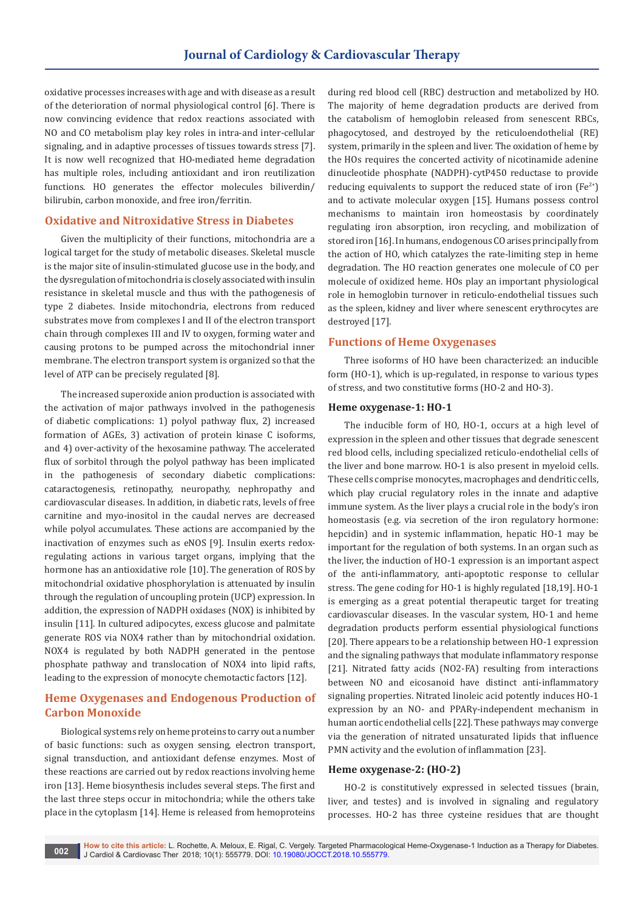oxidative processes increases with age and with disease as a result of the deterioration of normal physiological control [6]. There is now convincing evidence that redox reactions associated with NO and CO metabolism play key roles in intra-and inter-cellular signaling, and in adaptive processes of tissues towards stress [7]. It is now well recognized that HO-mediated heme degradation has multiple roles, including antioxidant and iron reutilization functions. HO generates the effector molecules biliverdin/ bilirubin, carbon monoxide, and free iron/ferritin.

## **Oxidative and Nitroxidative Stress in Diabetes**

Given the multiplicity of their functions, mitochondria are a logical target for the study of metabolic diseases. Skeletal muscle is the major site of insulin-stimulated glucose use in the body, and the dysregulation of mitochondria is closely associated with insulin resistance in skeletal muscle and thus with the pathogenesis of type 2 diabetes. Inside mitochondria, electrons from reduced substrates move from complexes I and II of the electron transport chain through complexes III and IV to oxygen, forming water and causing protons to be pumped across the mitochondrial inner membrane. The electron transport system is organized so that the level of ATP can be precisely regulated [8].

The increased superoxide anion production is associated with the activation of major pathways involved in the pathogenesis of diabetic complications: 1) polyol pathway flux, 2) increased formation of AGEs, 3) activation of protein kinase C isoforms, and 4) over-activity of the hexosamine pathway. The accelerated flux of sorbitol through the polyol pathway has been implicated in the pathogenesis of secondary diabetic complications: cataractogenesis, retinopathy, neuropathy, nephropathy and cardiovascular diseases. In addition, in diabetic rats, levels of free carnitine and myo-inositol in the caudal nerves are decreased while polyol accumulates. These actions are accompanied by the inactivation of enzymes such as eNOS [9]. Insulin exerts redoxregulating actions in various target organs, implying that the hormone has an antioxidative role [10]. The generation of ROS by mitochondrial oxidative phosphorylation is attenuated by insulin through the regulation of uncoupling protein (UCP) expression. In addition, the expression of NADPH oxidases (NOX) is inhibited by insulin [11]. In cultured adipocytes, excess glucose and palmitate generate ROS via NOX4 rather than by mitochondrial oxidation. NOX4 is regulated by both NADPH generated in the pentose phosphate pathway and translocation of NOX4 into lipid rafts, leading to the expression of monocyte chemotactic factors [12].

# **Heme Oxygenases and Endogenous Production of Carbon Monoxide**

Biological systems rely on heme proteins to carry out a number of basic functions: such as oxygen sensing, electron transport, signal transduction, and antioxidant defense enzymes. Most of these reactions are carried out by redox reactions involving heme iron [13]. Heme biosynthesis includes several steps. The first and the last three steps occur in mitochondria; while the others take place in the cytoplasm [14]. Heme is released from hemoproteins

during red blood cell (RBC) destruction and metabolized by HO. The majority of heme degradation products are derived from the catabolism of hemoglobin released from senescent RBCs, phagocytosed, and destroyed by the reticuloendothelial (RE) system, primarily in the spleen and liver. The oxidation of heme by the HOs requires the concerted activity of nicotinamide adenine dinucleotide phosphate (NADPH)-cytP450 reductase to provide reducing equivalents to support the reduced state of iron  $[Fe^{2+}]$ and to activate molecular oxygen [15]. Humans possess control mechanisms to maintain iron homeostasis by coordinately regulating iron absorption, iron recycling, and mobilization of stored iron [16]. In humans, endogenous CO arises principally from the action of HO, which catalyzes the rate-limiting step in heme degradation. The HO reaction generates one molecule of CO per molecule of oxidized heme. HOs play an important physiological role in hemoglobin turnover in reticulo-endothelial tissues such as the spleen, kidney and liver where senescent erythrocytes are destroyed [17].

## **Functions of Heme Oxygenases**

Three isoforms of HO have been characterized: an inducible form (HO-1), which is up-regulated, in response to various types of stress, and two constitutive forms (HO-2 and HO-3).

## **Heme oxygenase-1: HO-1**

The inducible form of HO, HO-1, occurs at a high level of expression in the spleen and other tissues that degrade senescent red blood cells, including specialized reticulo-endothelial cells of the liver and bone marrow. HO-1 is also present in myeloid cells. These cells comprise monocytes, macrophages and dendritic cells, which play crucial regulatory roles in the innate and adaptive immune system. As the liver plays a crucial role in the body's iron homeostasis (e.g. via secretion of the iron regulatory hormone: hepcidin) and in systemic inflammation, hepatic HO-1 may be important for the regulation of both systems. In an organ such as the liver, the induction of HO-1 expression is an important aspect of the anti-inflammatory, anti-apoptotic response to cellular stress. The gene coding for HO-1 is highly regulated [18,19]. HO-1 is emerging as a great potential therapeutic target for treating cardiovascular diseases. In the vascular system, HO-1 and heme degradation products perform essential physiological functions [20]. There appears to be a relationship between HO-1 expression and the signaling pathways that modulate inflammatory response [21]. Nitrated fatty acids (NO2-FA) resulting from interactions between NO and eicosanoid have distinct anti-inflammatory signaling properties. Nitrated linoleic acid potently induces HO-1 expression by an NO- and PPARγ-independent mechanism in human aortic endothelial cells [22]. These pathways may converge via the generation of nitrated unsaturated lipids that influence PMN activity and the evolution of inflammation [23].

#### **Heme oxygenase-2: (HO-2)**

HO-2 is constitutively expressed in selected tissues (brain, liver, and testes) and is involved in signaling and regulatory processes. HO-2 has three cysteine residues that are thought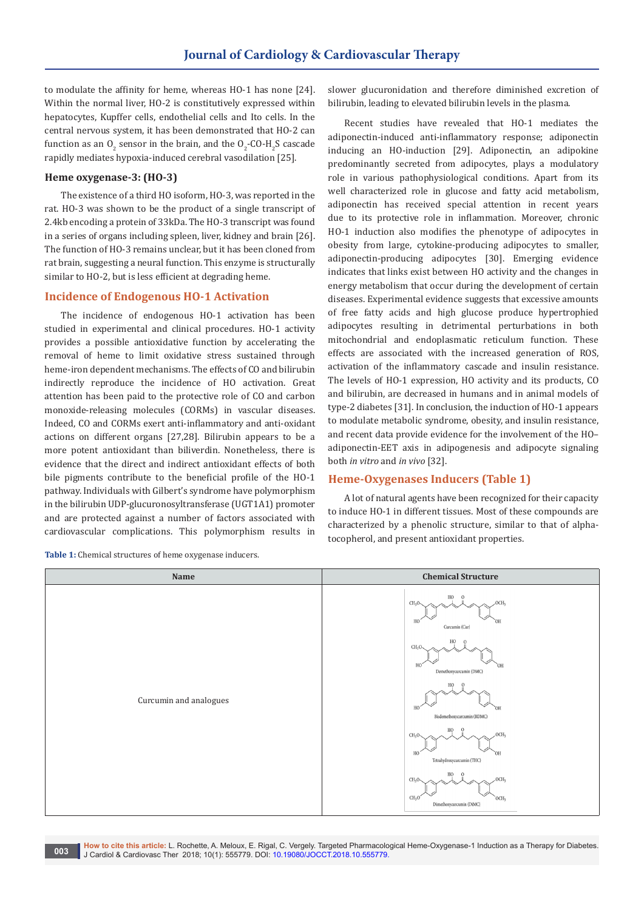to modulate the affinity for heme, whereas HO-1 has none [24]. Within the normal liver, HO-2 is constitutively expressed within hepatocytes, Kupffer cells, endothelial cells and Ito cells. In the central nervous system, it has been demonstrated that HO-2 can function as an  $O_2$  sensor in the brain, and the  $O_2$ -CO-H<sub>2</sub>S cascade rapidly mediates hypoxia-induced cerebral vasodilation [25].

# **Heme oxygenase-3: (HO-3)**

The existence of a third HO isoform, HO-3, was reported in the rat. HO-3 was shown to be the product of a single transcript of 2.4kb encoding a protein of 33kDa. The HO-3 transcript was found in a series of organs including spleen, liver, kidney and brain [26]. The function of HO-3 remains unclear, but it has been cloned from rat brain, suggesting a neural function. This enzyme is structurally similar to HO-2, but is less efficient at degrading heme.

## **Incidence of Endogenous HO-1 Activation**

The incidence of endogenous HO-1 activation has been studied in experimental and clinical procedures. HO-1 activity provides a possible antioxidative function by accelerating the removal of heme to limit oxidative stress sustained through heme-iron dependent mechanisms. The effects of CO and bilirubin indirectly reproduce the incidence of HO activation. Great attention has been paid to the protective role of CO and carbon monoxide-releasing molecules (CORMs) in vascular diseases. Indeed, CO and CORMs exert anti-inflammatory and anti-oxidant actions on different organs [27,28]. Bilirubin appears to be a more potent antioxidant than biliverdin. Nonetheless, there is evidence that the direct and indirect antioxidant effects of both bile pigments contribute to the beneficial profile of the HO-1 pathway. Individuals with Gilbert's syndrome have polymorphism in the bilirubin UDP-glucuronosyltransferase (UGT1A1) promoter and are protected against a number of factors associated with cardiovascular complications. This polymorphism results in

**Table 1:** Chemical structures of heme oxygenase inducers.

slower glucuronidation and therefore diminished excretion of bilirubin, leading to elevated bilirubin levels in the plasma.

Recent studies have revealed that HO-1 mediates the adiponectin-induced anti-inflammatory response; adiponectin inducing an HO-induction [29]. Adiponectin, an adipokine predominantly secreted from adipocytes, plays a modulatory role in various pathophysiological conditions. Apart from its well characterized role in glucose and fatty acid metabolism, adiponectin has received special attention in recent years due to its protective role in inflammation. Moreover, chronic HO-1 induction also modifies the phenotype of adipocytes in obesity from large, cytokine-producing adipocytes to smaller, adiponectin-producing adipocytes [30]. Emerging evidence indicates that links exist between HO activity and the changes in energy metabolism that occur during the development of certain diseases. Experimental evidence suggests that excessive amounts of free fatty acids and high glucose produce hypertrophied adipocytes resulting in detrimental perturbations in both mitochondrial and endoplasmatic reticulum function. These effects are associated with the increased generation of ROS, activation of the inflammatory cascade and insulin resistance. The levels of HO-1 expression, HO activity and its products, CO and bilirubin, are decreased in humans and in animal models of type-2 diabetes [31]. In conclusion, the induction of HO-1 appears to modulate metabolic syndrome, obesity, and insulin resistance, and recent data provide evidence for the involvement of the HO– adiponectin-EET axis in adipogenesis and adipocyte signaling both *in vitro* and *in vivo* [32].

# **Heme-Oxygenases Inducers (Table 1)**

A lot of natural agents have been recognized for their capacity to induce HO-1 in different tissues. Most of these compounds are characterized by a phenolic structure, similar to that of alphatocopherol, and present antioxidant properties.



**How to cite this article:** L. Rochette, A. Meloux, E. Rigal, C. Vergely. Targeted Pharmacological Heme-Oxygenase-1 Induction as a Therapy for Diabetes. J Cardiol & Cardiovasc Ther 2018; 10(1): 555779. DOI: [10.19080/JOCCT.2018.10.555779](vhttp://dx.doi.org/10.19080/JOCCT.2018.10.555779). **003**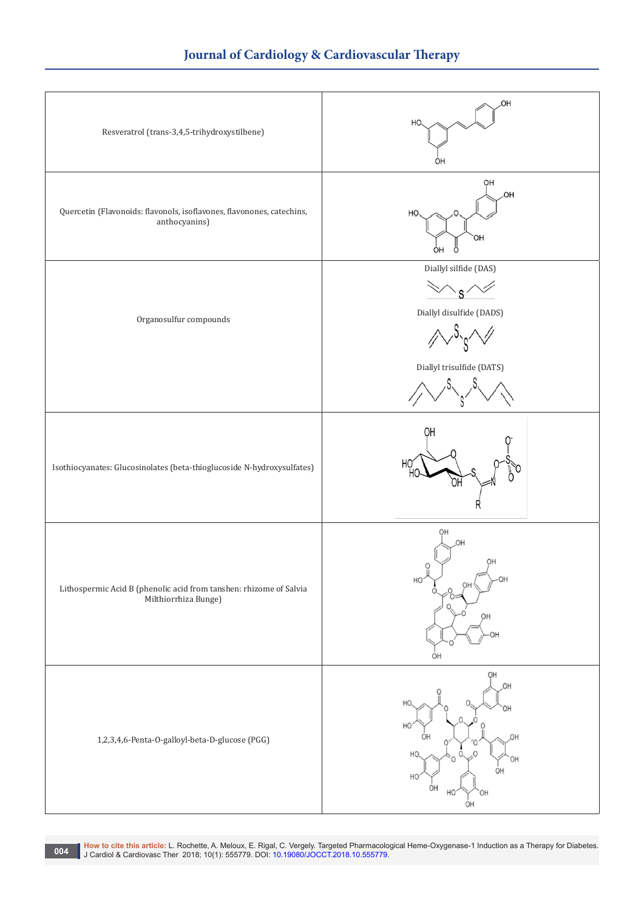

**1994 – How to cite this article:** L. Rochette, A. Meloux, E. Rigal, C. Vergely. Targeted Pharmacological Heme-Oxygenase-1 Induction as a Therapy for Diabetes.<br>J. Cardiol & Cardiovasc Ther 2018; 10(1): 555779. DOI: 10.1908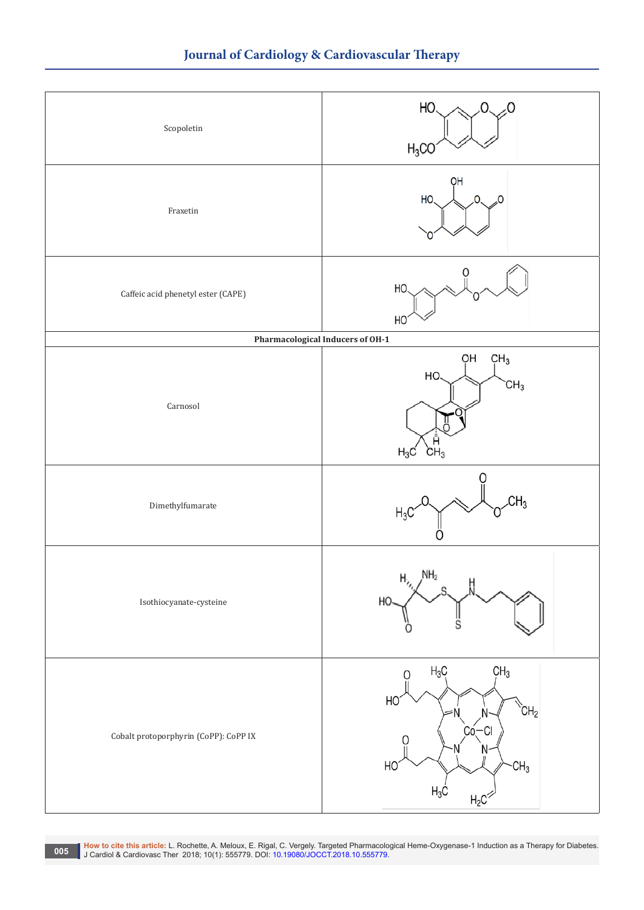

**1998 | How to cite this article:** L. Rochette, A. Meloux, E. Rigal, C. Vergely. Targeted Pharmacological Heme-Oxygenase-1 Induction as a Therapy for Diabetes.<br>| J Cardiol & Cardiovasc Ther 2018; 10(1): 555779. DOI: 10.19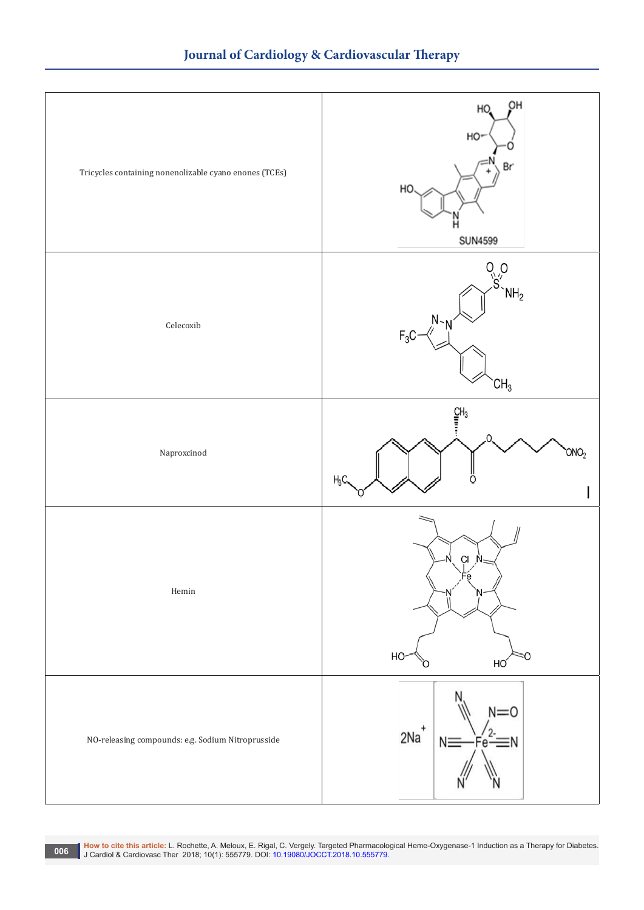

Mow to cite this article: L. Rochette, A. Meloux, E. Rigal, C. Vergely. Targeted Pharmacological Heme-Oxygenase-1 Induction as a Therapy for Diabetes.<br>J. Cardiol & Cardiovasc Ther 2018; 10(1): 555779. DOI: 10.19080/JOCCT.2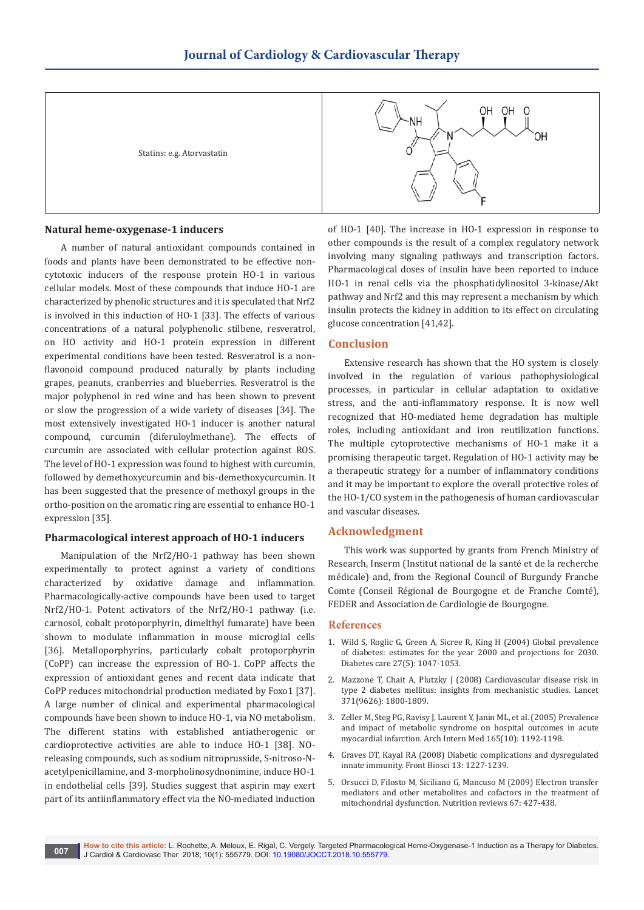Statins: e.g. Atorvastatin



# **Natural heme-oxygenase-1 inducers**

A number of natural antioxidant compounds contained in foods and plants have been demonstrated to be effective noncytotoxic inducers of the response protein HO-1 in various cellular models. Most of these compounds that induce HO-1 are characterized by phenolic structures and it is speculated that Nrf2 is involved in this induction of HO-1 [33]. The effects of various concentrations of a natural polyphenolic stilbene, resveratrol, on HO activity and HO-1 protein expression in different experimental conditions have been tested. Resveratrol is a nonflavonoid compound produced naturally by plants including grapes, peanuts, cranberries and blueberries. Resveratrol is the major polyphenol in red wine and has been shown to prevent or slow the progression of a wide variety of diseases [34]. The most extensively investigated HO-1 inducer is another natural compound, curcumin (diferuloylmethane). The effects of curcumin are associated with cellular protection against ROS. The level of HO-1 expression was found to highest with curcumin, followed by demethoxycurcumin and bis-demethoxycurcumin. It has been suggested that the presence of methoxyl groups in the ortho-position on the aromatic ring are essential to enhance HO-1 expression [35].

# **Pharmacological interest approach of HO-1 inducers**

Manipulation of the Nrf2/HO-1 pathway has been shown experimentally to protect against a variety of conditions characterized by oxidative damage and inflammation. Pharmacologically-active compounds have been used to target Nrf2/HO-1. Potent activators of the Nrf2/HO-1 pathway (i.e. carnosol, cobalt protoporphyrin, dimelthyl fumarate) have been shown to modulate inflammation in mouse microglial cells [36]. Metalloporphyrins, particularly cobalt protoporphyrin (CoPP) can increase the expression of HO-1. CoPP affects the expression of antioxidant genes and recent data indicate that CoPP reduces mitochondrial production mediated by Foxo1 [37]. A large number of clinical and experimental pharmacological compounds have been shown to induce HO-1, via NO metabolism. The different statins with established antiatherogenic or cardioprotective activities are able to induce HO-1 [38]. NOreleasing compounds, such as sodium nitroprusside, S-nitroso-Nacetylpenicillamine, and 3-morpholinosydnonimine, induce HO-1 in endothelial cells [39]. Studies suggest that aspirin may exert part of its antiinflammatory effect via the NO-mediated induction

of HO-1 [40]. The increase in HO-1 expression in response to other compounds is the result of a complex regulatory network involving many signaling pathways and transcription factors. Pharmacological doses of insulin have been reported to induce HO-1 in renal cells via the phosphatidylinositol 3-kinase/Akt pathway and Nrf2 and this may represent a mechanism by which insulin protects the kidney in addition to its effect on circulating glucose concentration [41,42].

# **Conclusion**

Extensive research has shown that the HO system is closely involved in the regulation of various pathophysiological processes, in particular in cellular adaptation to oxidative stress, and the anti-inflammatory response. It is now well recognized that HO-mediated heme degradation has multiple roles, including antioxidant and iron reutilization functions. The multiple cytoprotective mechanisms of HO-1 make it a promising therapeutic target. Regulation of HO-1 activity may be a therapeutic strategy for a number of inflammatory conditions and it may be important to explore the overall protective roles of the HO-1/CO system in the pathogenesis of human cardiovascular and vascular diseases.

# **Acknowledgment**

This work was supported by grants from French Ministry of Research, Inserm (Institut national de la santé et de la recherche médicale) and, from the Regional Council of Burgundy Franche Comte (Conseil Régional de Bourgogne et de Franche Comté), FEDER and Association de Cardiologie de Bourgogne.

## **References**

- 1. [Wild S, Roglic G, Green A, Sicree R, King H \(2004\) Global prevalence](https://www.ncbi.nlm.nih.gov/pubmed/15111519)  [of diabetes: estimates for the year 2000 and projections for 2030.](https://www.ncbi.nlm.nih.gov/pubmed/15111519)  [Diabetes care 27\(5\): 1047-1053.](https://www.ncbi.nlm.nih.gov/pubmed/15111519)
- 2. [Mazzone T, Chait A, Plutzky J \(2008\) Cardiovascular disease risk in](https://www.ncbi.nlm.nih.gov/pubmed/18502305)  [type 2 diabetes mellitus: insights from mechanistic studies. Lancet](https://www.ncbi.nlm.nih.gov/pubmed/18502305)  [371\(9626\): 1800-1809.](https://www.ncbi.nlm.nih.gov/pubmed/18502305)
- 3. [Zeller M, Steg PG, Ravisy J, Laurent Y, Janin ML, et al. \(2005\) Prevalence](https://www.ncbi.nlm.nih.gov/pubmed/15911735)  [and impact of metabolic syndrome on hospital outcomes in acute](https://www.ncbi.nlm.nih.gov/pubmed/15911735)  [myocardial infarction. Arch Intern Med 165\(10\): 1192-1198.](https://www.ncbi.nlm.nih.gov/pubmed/15911735)
- 4. [Graves DT, Kayal RA \(2008\) Diabetic complications and dysregulated](https://www.ncbi.nlm.nih.gov/pubmed/17981625)  [innate immunity. Front Biosci 13: 1227-1239.](https://www.ncbi.nlm.nih.gov/pubmed/17981625)
- 5. Orsucci D, Filosto M, Siciliano G, Mancuso M (2009) Electron transfer mediators and other metabolites and cofactors in the treatment of mitochondrial dysfunction. Nutrition reviews 67: 427-438.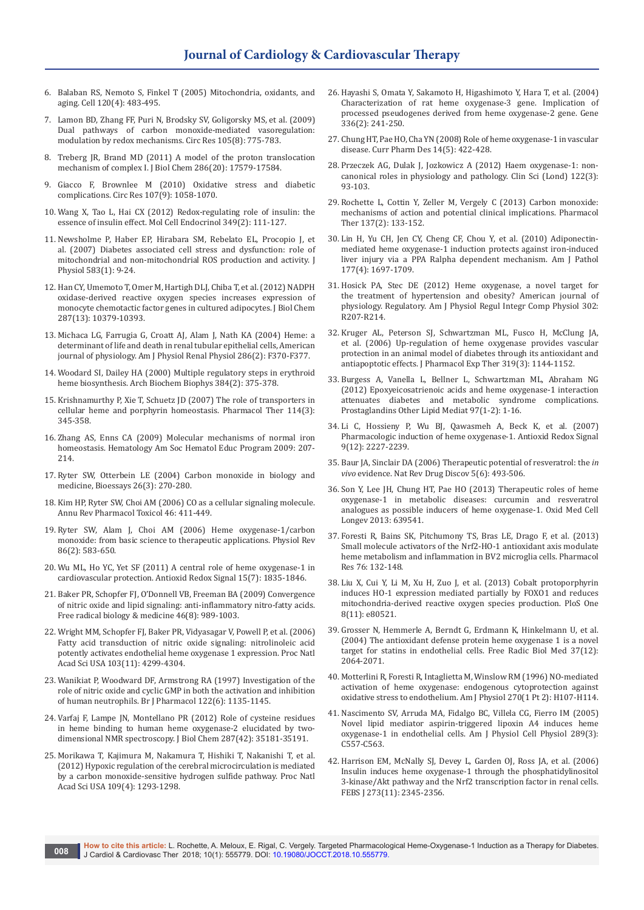- 6. [Balaban RS, Nemoto S, Finkel T \(2005\) Mitochondria, oxidants, and](https://www.ncbi.nlm.nih.gov/pubmed/15734681)  [aging. Cell 120\(4\): 483-495.](https://www.ncbi.nlm.nih.gov/pubmed/15734681)
- 7. [Lamon BD, Zhang FF, Puri N, Brodsky SV, Goligorsky MS, et al. \(2009\)](https://www.ncbi.nlm.nih.gov/pubmed/19745167)  [Dual pathways of carbon monoxide-mediated vasoregulation:](https://www.ncbi.nlm.nih.gov/pubmed/19745167)  [modulation by redox mechanisms. Circ Res 105\(8\): 775-783.](https://www.ncbi.nlm.nih.gov/pubmed/19745167)
- 8. [Treberg JR, Brand MD \(2011\) A model of the proton translocation](https://www.ncbi.nlm.nih.gov/pubmed/21454533)  [mechanism of complex I. J Biol Chem 286\(20\): 17579-17584.](https://www.ncbi.nlm.nih.gov/pubmed/21454533)
- 9. [Giacco F, Brownlee M \(2010\) Oxidative stress and diabetic](https://www.ncbi.nlm.nih.gov/pubmed/21030723)  [complications. Circ Res 107\(9\): 1058-1070.](https://www.ncbi.nlm.nih.gov/pubmed/21030723)
- 10. [Wang X, Tao L, Hai CX \(2012\) Redox-regulating role of insulin: the](https://www.ncbi.nlm.nih.gov/pubmed/21878367)  [essence of insulin effect. Mol Cell Endocrinol 349\(2\): 111-127.](https://www.ncbi.nlm.nih.gov/pubmed/21878367)
- 11. [Newsholme P, Haber EP, Hirabara SM, Rebelato EL, Procopio J, et](https://www.ncbi.nlm.nih.gov/pubmed/17584843/)  [al. \(2007\) Diabetes associated cell stress and dysfunction: role of](https://www.ncbi.nlm.nih.gov/pubmed/17584843/)  [mitochondrial and non-mitochondrial ROS production and activity. J](https://www.ncbi.nlm.nih.gov/pubmed/17584843/)  [Physiol 583\(1\): 9-24.](https://www.ncbi.nlm.nih.gov/pubmed/17584843/)
- 12. [Han CY, Umemoto T, Omer M, Hartigh DLJ, Chiba T, et al. \(2012\) NADPH](https://www.ncbi.nlm.nih.gov/pubmed/22287546)  [oxidase-derived reactive oxygen species increases expression of](https://www.ncbi.nlm.nih.gov/pubmed/22287546)  [monocyte chemotactic factor genes in cultured adipocytes. J Biol Chem](https://www.ncbi.nlm.nih.gov/pubmed/22287546)  [287\(13\): 10379-10393.](https://www.ncbi.nlm.nih.gov/pubmed/22287546)
- 13. [Michaca LG, Farrugia G, Croatt AJ, Alam J, Nath KA \(2004\) Heme: a](https://www.ncbi.nlm.nih.gov/pubmed/14707007)  [determinant of life and death in renal tubular epithelial cells, American](https://www.ncbi.nlm.nih.gov/pubmed/14707007)  [journal of physiology. Am J Physiol Renal Physiol 286\(2\): F370-F377.](https://www.ncbi.nlm.nih.gov/pubmed/14707007)
- 14. [Woodard SI, Dailey HA \(2000\) Multiple regulatory steps in erythroid](https://www.ncbi.nlm.nih.gov/pubmed/11368326)  [heme biosynthesis. Arch Biochem Biophys 384\(2\): 375-378.](https://www.ncbi.nlm.nih.gov/pubmed/11368326)
- 15. [Krishnamurthy P, Xie T, Schuetz JD \(2007\) The role of transporters in](https://www.ncbi.nlm.nih.gov/pubmed/17368550)  [cellular heme and porphyrin homeostasis. Pharmacol Ther 114\(3\):](https://www.ncbi.nlm.nih.gov/pubmed/17368550)  [345-358.](https://www.ncbi.nlm.nih.gov/pubmed/17368550)
- 16. [Zhang AS, Enns CA \(2009\) Molecular mechanisms of normal iron](https://www.ncbi.nlm.nih.gov/pubmed/20008200)  [homeostasis. Hematology Am Soc Hematol Educ Program 2009: 207-](https://www.ncbi.nlm.nih.gov/pubmed/20008200) [214.](https://www.ncbi.nlm.nih.gov/pubmed/20008200)
- 17. [Ryter SW, Otterbein LE \(2004\) Carbon monoxide in biology and](https://www.ncbi.nlm.nih.gov/pubmed/14988928)  [medicine, Bioessays 26\(3\): 270-280.](https://www.ncbi.nlm.nih.gov/pubmed/14988928)
- 18. [Kim HP, Ryter SW, Choi AM \(2006\) CO as a cellular signaling molecule.](https://www.ncbi.nlm.nih.gov/pubmed/16402911)  [Annu Rev Pharmacol Toxicol 46: 411-449.](https://www.ncbi.nlm.nih.gov/pubmed/16402911)
- 19. [Ryter SW, Alam J, Choi AM \(2006\) Heme oxygenase-1/carbon](https://www.ncbi.nlm.nih.gov/pubmed/16601269)  [monoxide: from basic science to therapeutic applications. Physiol Rev](https://www.ncbi.nlm.nih.gov/pubmed/16601269)  [86\(2\): 583-650.](https://www.ncbi.nlm.nih.gov/pubmed/16601269)
- 20. [Wu ML, Ho YC, Yet SF \(2011\) A central role of heme oxygenase-1 in](https://www.ncbi.nlm.nih.gov/pubmed/21091076)  [cardiovascular protection. Antioxid Redox Signal 15\(7\): 1835-1846.](https://www.ncbi.nlm.nih.gov/pubmed/21091076)
- 21. [Baker PR, Schopfer FJ, O'Donnell VB, Freeman BA \(2009\) Convergence](https://www.ncbi.nlm.nih.gov/pubmed/19200454)  [of nitric oxide and lipid signaling: anti-inflammatory nitro-fatty acids.](https://www.ncbi.nlm.nih.gov/pubmed/19200454)  [Free radical biology & medicine 46\(8\): 989-1003.](https://www.ncbi.nlm.nih.gov/pubmed/19200454)
- 22. [Wright MM, Schopfer FJ, Baker PR, Vidyasagar V, Powell P, et al. \(2006\)](https://www.ncbi.nlm.nih.gov/pubmed/16537525)  [Fatty acid transduction of nitric oxide signaling: nitrolinoleic acid](https://www.ncbi.nlm.nih.gov/pubmed/16537525)  [potently activates endothelial heme oxygenase 1 expression. Proc Natl](https://www.ncbi.nlm.nih.gov/pubmed/16537525)  [Acad Sci USA 103\(11\): 4299-4304.](https://www.ncbi.nlm.nih.gov/pubmed/16537525)
- 23. [Wanikiat P, Woodward DF, Armstrong RA \(1997\) Investigation of the](https://www.ncbi.nlm.nih.gov/pubmed/9401778)  [role of nitric oxide and cyclic GMP in both the activation and inhibition](https://www.ncbi.nlm.nih.gov/pubmed/9401778)  [of human neutrophils. Br J Pharmacol 122\(6\): 1135-1145.](https://www.ncbi.nlm.nih.gov/pubmed/9401778)
- 24. [Varfaj F, Lampe JN, Montellano PR \(2012\) Role of cysteine residues](https://www.ncbi.nlm.nih.gov/pubmed/22923613/)  [in heme binding to human heme oxygenase-2 elucidated by two](https://www.ncbi.nlm.nih.gov/pubmed/22923613/)[dimensional NMR spectroscopy. J Biol Chem 287\(42\): 35181-35191.](https://www.ncbi.nlm.nih.gov/pubmed/22923613/)
- 25. [Morikawa T, Kajimura M, Nakamura T, Hishiki T, Nakanishi T, et al.](https://www.ncbi.nlm.nih.gov/pubmed/22232681/)  [\(2012\) Hypoxic regulation of the cerebral microcirculation is mediated](https://www.ncbi.nlm.nih.gov/pubmed/22232681/)  [by a carbon monoxide-sensitive hydrogen sulfide pathway. Proc Natl](https://www.ncbi.nlm.nih.gov/pubmed/22232681/)  [Acad Sci USA 109\(4\): 1293-1298.](https://www.ncbi.nlm.nih.gov/pubmed/22232681/)
- 26. [Hayashi S, Omata Y, Sakamoto H, Higashimoto Y, Hara T, et al. \(2004\)](https://www.ncbi.nlm.nih.gov/pubmed/15246535)  [Characterization of rat heme oxygenase-3 gene. Implication of](https://www.ncbi.nlm.nih.gov/pubmed/15246535)  [processed pseudogenes derived from heme oxygenase-2 gene. Gene](https://www.ncbi.nlm.nih.gov/pubmed/15246535)  [336\(2\): 241-250.](https://www.ncbi.nlm.nih.gov/pubmed/15246535)
- 27. [Chung HT, Pae HO, Cha YN \(2008\) Role of heme oxygenase-1 in vascular](https://www.ncbi.nlm.nih.gov/pubmed/18289069)  [disease. Curr Pharm Des 14\(5\): 422-428.](https://www.ncbi.nlm.nih.gov/pubmed/18289069)
- 28. [Przeczek AG, Dulak J, Jozkowicz A \(2012\) Haem oxygenase-1: non](https://www.ncbi.nlm.nih.gov/pubmed/21992109)[canonical roles in physiology and pathology. Clin Sci \(Lond\) 122\(3\):](https://www.ncbi.nlm.nih.gov/pubmed/21992109)  [93-103.](https://www.ncbi.nlm.nih.gov/pubmed/21992109)
- 29. [Rochette L, Cottin Y, Zeller M, Vergely C \(2013\) Carbon monoxide:](https://www.ncbi.nlm.nih.gov/pubmed/23026155)  [mechanisms of action and potential clinical implications. Pharmacol](https://www.ncbi.nlm.nih.gov/pubmed/23026155)  [Ther 137\(2\): 133-152.](https://www.ncbi.nlm.nih.gov/pubmed/23026155)
- 30. [Lin H, Yu CH, Jen CY, Cheng CF, Chou Y, et al. \(2010\) Adiponectin](https://www.ncbi.nlm.nih.gov/pubmed/20709802)[mediated heme oxygenase-1 induction protects against iron-induced](https://www.ncbi.nlm.nih.gov/pubmed/20709802)  [liver injury via a PPA Ralpha dependent mechanism. Am J Pathol](https://www.ncbi.nlm.nih.gov/pubmed/20709802)  [177\(4\): 1697-1709.](https://www.ncbi.nlm.nih.gov/pubmed/20709802)
- 31. [Hosick PA, Stec DE \(2012\) Heme oxygenase, a novel target for](https://www.ncbi.nlm.nih.gov/pubmed/22071158)  [the treatment of hypertension and obesity? American journal of](https://www.ncbi.nlm.nih.gov/pubmed/22071158)  [physiology. Regulatory. Am J Physiol Regul Integr Comp Physiol 302:](https://www.ncbi.nlm.nih.gov/pubmed/22071158)  [R207-R214.](https://www.ncbi.nlm.nih.gov/pubmed/22071158)
- 32. [Kruger AL, Peterson SJ, Schwartzman ML, Fusco H, McClung JA,](https://www.ncbi.nlm.nih.gov/pubmed/16959961)  [et al. \(2006\) Up-regulation of heme oxygenase provides vascular](https://www.ncbi.nlm.nih.gov/pubmed/16959961)  [protection in an animal model of diabetes through its antioxidant and](https://www.ncbi.nlm.nih.gov/pubmed/16959961)  [antiapoptotic effects. J Pharmacol Exp Ther 319\(3\): 1144-1152.](https://www.ncbi.nlm.nih.gov/pubmed/16959961)
- 33. [Burgess A, Vanella L, Bellner L, Schwartzman ML, Abraham NG](https://www.ncbi.nlm.nih.gov/pubmed/22100745)  [\(2012\) Epoxyeicosatrienoic acids and heme oxygenase-1 interaction](https://www.ncbi.nlm.nih.gov/pubmed/22100745)  [attenuates diabetes and metabolic syndrome complications.](https://www.ncbi.nlm.nih.gov/pubmed/22100745)  [Prostaglandins Other Lipid Mediat 97\(1-2\): 1-16.](https://www.ncbi.nlm.nih.gov/pubmed/22100745)
- 34. [Li C, Hossieny P, Wu BJ, Qawasmeh A, Beck K, et al. \(2007\)](https://www.ncbi.nlm.nih.gov/pubmed/17822367)  [Pharmacologic induction of heme oxygenase-1. Antioxid Redox Signal](https://www.ncbi.nlm.nih.gov/pubmed/17822367)  [9\(12\): 2227-2239.](https://www.ncbi.nlm.nih.gov/pubmed/17822367)
- 35. [Baur JA, Sinclair DA \(2006\) Therapeutic potential of resveratrol: the](https://www.ncbi.nlm.nih.gov/pubmed/16732220) *in vivo* [evidence. Nat Rev Drug Discov 5\(6\): 493-506.](https://www.ncbi.nlm.nih.gov/pubmed/16732220)
- 36. [Son Y, Lee JH, Chung HT, Pae HO \(2013\) Therapeutic roles of heme](https://www.ncbi.nlm.nih.gov/pubmed/24101950)  [oxygenase-1 in metabolic diseases: curcumin and resveratrol](https://www.ncbi.nlm.nih.gov/pubmed/24101950)  [analogues as possible inducers of heme oxygenase-1. Oxid Med Cell](https://www.ncbi.nlm.nih.gov/pubmed/24101950)  [Longev 2013: 639541.](https://www.ncbi.nlm.nih.gov/pubmed/24101950)
- 37. [Foresti R, Bains SK, Pitchumony TS, Bras LE, Drago F, et al. \(2013\)](https://www.ncbi.nlm.nih.gov/pubmed/23942037)  [Small molecule activators of the Nrf2-HO-1 antioxidant axis modulate](https://www.ncbi.nlm.nih.gov/pubmed/23942037)  [heme metabolism and inflammation in BV2 microglia cells. Pharmacol](https://www.ncbi.nlm.nih.gov/pubmed/23942037)  [Res 76: 132-148.](https://www.ncbi.nlm.nih.gov/pubmed/23942037)
- 38. [Liu X, Cui Y, Li M, Xu H, Zuo J, et al. \(2013\) Cobalt protoporphyrin](https://www.ncbi.nlm.nih.gov/pubmed/24255720)  [induces HO-1 expression mediated partially by FOXO1 and reduces](https://www.ncbi.nlm.nih.gov/pubmed/24255720)  [mitochondria-derived reactive oxygen species production. PloS One](https://www.ncbi.nlm.nih.gov/pubmed/24255720)  [8\(11\): e80521.](https://www.ncbi.nlm.nih.gov/pubmed/24255720)
- 39. [Grosser N, Hemmerle A, Berndt G, Erdmann K, Hinkelmann U, et al.](https://www.ncbi.nlm.nih.gov/pubmed/15544924)  [\(2004\) The antioxidant defense protein heme oxygenase 1 is a novel](https://www.ncbi.nlm.nih.gov/pubmed/15544924)  [target for statins in endothelial cells. Free Radic Biol Med 37\(12\):](https://www.ncbi.nlm.nih.gov/pubmed/15544924)  [2064-2071.](https://www.ncbi.nlm.nih.gov/pubmed/15544924)
- 40. [Motterlini R, Foresti R, Intaglietta M, Winslow RM \(1996\) NO-mediated](https://www.ncbi.nlm.nih.gov/pubmed/8769740)  [activation of heme oxygenase: endogenous cytoprotection against](https://www.ncbi.nlm.nih.gov/pubmed/8769740)  [oxidative stress to endothelium. Am J Physiol 270\(1 Pt 2\): H107-H114.](https://www.ncbi.nlm.nih.gov/pubmed/8769740)
- 41. [Nascimento SV, Arruda MA, Fidalgo BC, Villela CG, Fierro IM \(2005\)](https://www.ncbi.nlm.nih.gov/pubmed/15901601)  [Novel lipid mediator aspirin-triggered lipoxin A4 induces heme](https://www.ncbi.nlm.nih.gov/pubmed/15901601)  [oxygenase-1 in endothelial cells. Am J Physiol Cell Physiol 289\(3\):](https://www.ncbi.nlm.nih.gov/pubmed/15901601)  [C557-C563.](https://www.ncbi.nlm.nih.gov/pubmed/15901601)
- 42. [Harrison EM, McNally SJ, Devey L, Garden OJ, Ross JA, et al. \(2006\)](https://www.ncbi.nlm.nih.gov/pubmed/16704410)  [Insulin induces heme oxygenase-1 through the phosphatidylinositol](https://www.ncbi.nlm.nih.gov/pubmed/16704410)  [3-kinase/Akt pathway and the Nrf2 transcription factor in renal cells.](https://www.ncbi.nlm.nih.gov/pubmed/16704410)  [FEBS J 273\(11\): 2345-2356.](https://www.ncbi.nlm.nih.gov/pubmed/16704410)